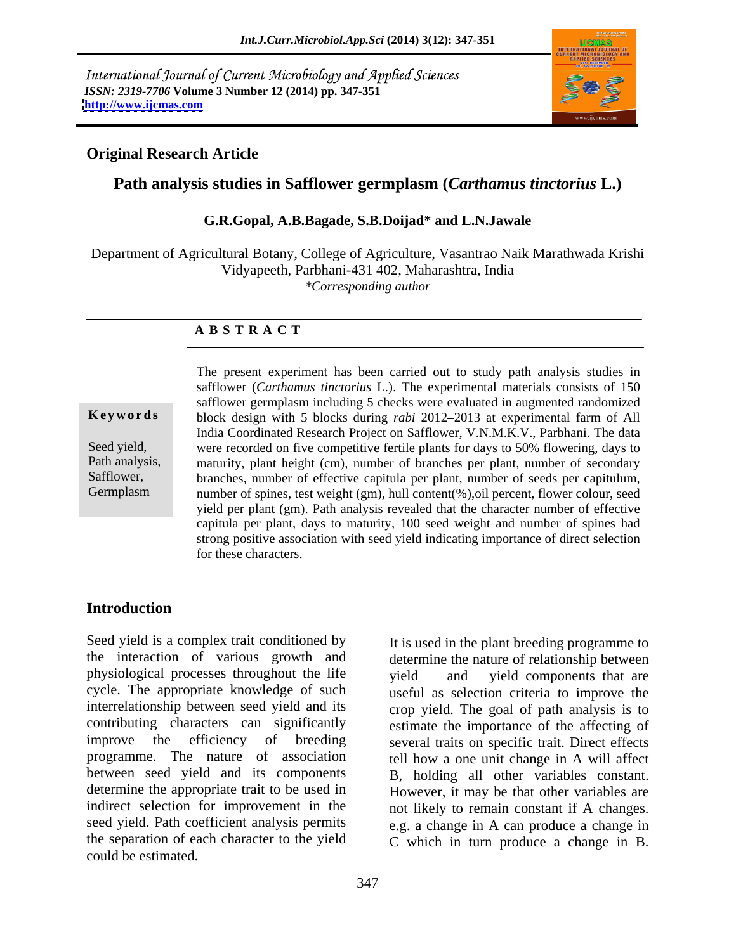International Journal of Current Microbiology and Applied Sciences *ISSN: 2319-7706* **Volume 3 Number 12 (2014) pp. 347-351 <http://www.ijcmas.com>**



### **Original Research Article**

# **Path analysis studies in Safflower germplasm (***Carthamus tinctorius* **L.)**

### **G.R.Gopal, A.B.Bagade, S.B.Doijad\* and L.N.Jawale**

Department of Agricultural Botany, College of Agriculture, Vasantrao Naik Marathwada Krishi Vidyapeeth, Parbhani-431 402, Maharashtra, India *\*Corresponding author* 

### **A B S T R A C T**

**Keywords** block design with 5 blocks during *rabi* 2012–2013 at experimental farm of All Seed yield, were recorded on five competitive fertile plants for days to 50% flowering, days to Path analysis, maturity, plant height (cm), number of branches per plant, number of secondary Safflower, branches, number of effective capitula per plant, number of seeds per capitulum, The present experiment has been carried out to study path analysis studies in safflower (*Carthamus tinctorius* L.). The experimental materials consists of 150 safflower germplasm including 5 checks were evaluated in augme safflower (*Carthamus tinctorius* L.). The experimental materials consists of 150 safflower germplasm including 5 checks were evaluated in augmented randomized India Coordinated Research Project on Safflower, V.N.M.K.V., Parbhani. The data number of spines, test weight (gm), hull content(%),oil percent, flower colour, seed yield per plant (gm). Path analysis revealed that the character number of effective capitula per plant, days to maturity, 100 seed weight and number of spines had strong positive association with seed yield indicating importance of direct selection for these characters.

## **Introduction**

Seed yield is a complex trait conditioned by the interaction of various growth and determine the nature of relationship between physiological processes throughout the life vield and yield components that are cycle. The appropriate knowledge of such useful as selection criteria to improve the interrelationship between seed yield and its contributing characters can significantly estimate the importance of the affecting of improve the efficiency of breeding several traits on specific trait. Direct effects programme. The nature of association tell how a one unit change in A will affect between seed yield and its components B, holding all other variables constant. determine the appropriate trait to be used in However, it may be that other variables are indirect selection for improvement in the not likely to remain constant if A changes. seed yield. Path coefficient analysis permits e.g. a change in A can produce a change in the separation of each character to the yield C which in turn produce a change in B. could be estimated.

It is used in the plant breeding programme to determine the nature of relationship between<br>yield and yield components that are crop yield. The goal of path analysis is to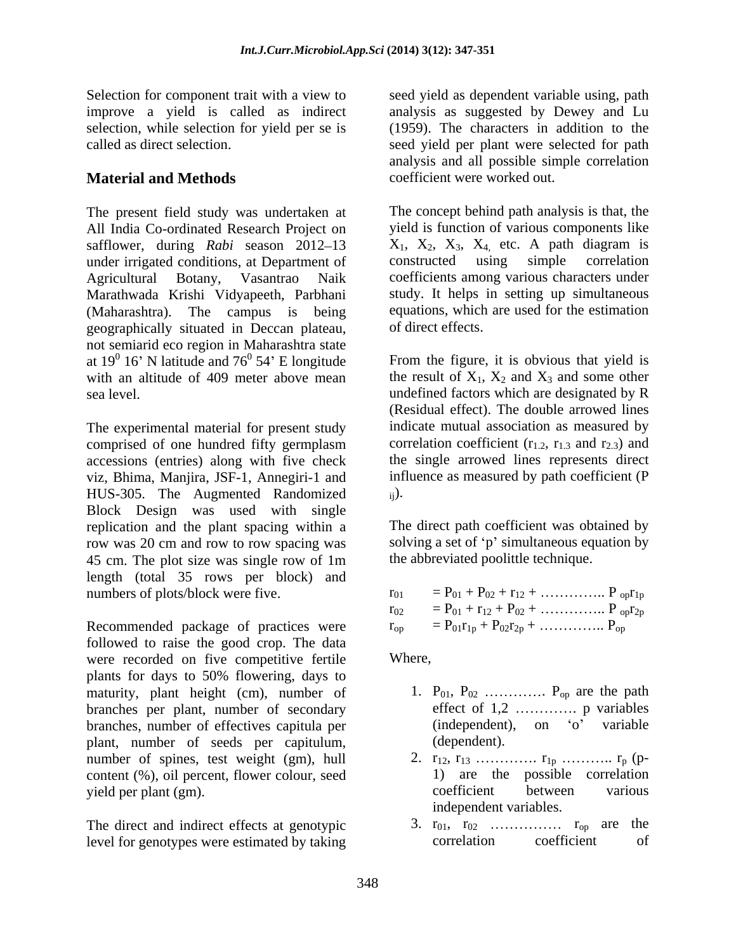# **Material and Methods**

The present field study was undertaken at All India Co-ordinated Research Project on safflower, during *Rabi* season  $2012-13$   $X_1, X_2, X_3, X_4$  etc. A path diagram is under irrigated conditions, at Department of constructed using simple correlation Agricultural Botany, Vasantrao Naik coefficients among various characters under Marathwada Krishi Vidyapeeth, Parbhani (Maharashtra). The campus is being equations, which are used for the estimation geographically situated in Deccan plateau, of direct effects. not semiarid eco region in Maharashtra state at  $19^0$  16' N latitude and  $76^0$  54' E longitude<br>with an altitude of 409 meter above mean with an altitude of 409 meter above mean the result of  $X_1$ ,  $X_2$  and  $X_3$  and some other

The experimental material for present study comprised of one hundred fifty germplasm accessions (entries) along with five check viz, Bhima, Manjira, JSF-1, Annegiri-1 and HUS-305. The Augmented Randomized Block Design was used with single replication and the plant spacing within a row was 20 cm and row to row spacing was 45 cm. The plot size was single row of 1m length (total 35 rows per block) and numbers of plots/block were five.

Recommended package of practices were followed to raise the good crop. The data were recorded on five competitive fertile Where, plants for days to 50% flowering, days to maturity, plant height (cm), number of branches per plant, number of secondary branches, number of effectives capitula per (independent plant, number of seeds per capitulum. (dependent). plant, number of seeds per capitulum, number of spines, test weight (gm), hull content (%), oil percent, flower colour, seed yield per plant (gm).  $\qquad \qquad$  coefficient between various

The direct and indirect effects at genotypic  $\begin{array}{ccc} 3. & r_{01}, & r_{02} & \dots & r_{0p} \text{ are the level for genotypes were estimated by taking correlation} \end{array}$ level for genotypes were estimated by taking

Selection for component trait with a view to seed yield as dependent variable using, path improve a yield is called as indirect analysis as suggested by Dewey and Lu selection, while selection for yield per se is (1959). The characters in addition to the called as direct selection. seed yield per plant were selected for path analysis and all possible simple correlation coefficient were worked out.

> The concept behind path analysis is that, the yield is function of various components like constructed using simple correlation study. It helps in setting up simultaneous of direct effects.

16' N latitude and  $76^{\circ}$  54' E longitude From the figure, it is obvious that yield is sea level. undefined factors which are designated by R (Residual effect). The double arrowed lines indicate mutual association as measured by correlation coefficient  $(r_1, r_1, r_3, r_2, r_3)$  and the single arrowed lines represents direct influence as measured by path coefficient (P  $_{\rm ij}$ ).

> The direct path coefficient was obtained by solving a set of 'p' simultaneous equation by the abbreviated poolittle technique.

| $r_{02}$ = P <sub>01</sub> + r <sub>12</sub> + P <sub>02</sub> +  P <sub>op</sub> r <sub>2p</sub> |  |
|---------------------------------------------------------------------------------------------------|--|
| $P_{01}r_{1p} + P_{02}r_{2p} + \ldots$ $P_{op}$                                                   |  |

Where,

- 1.  $P_{01}$ ,  $P_{02}$  .............  $P_{op}$  are the path effect of  $1,2$  .............. p variables  $(independent)$ , on  $'o'$  variable (dependent).
- 2. r12, r13 . r1p .. rp (p- 1) are the possible correlation coefficient between various independent variables.
- 3. r01, r02 rop are the correlation coefficient of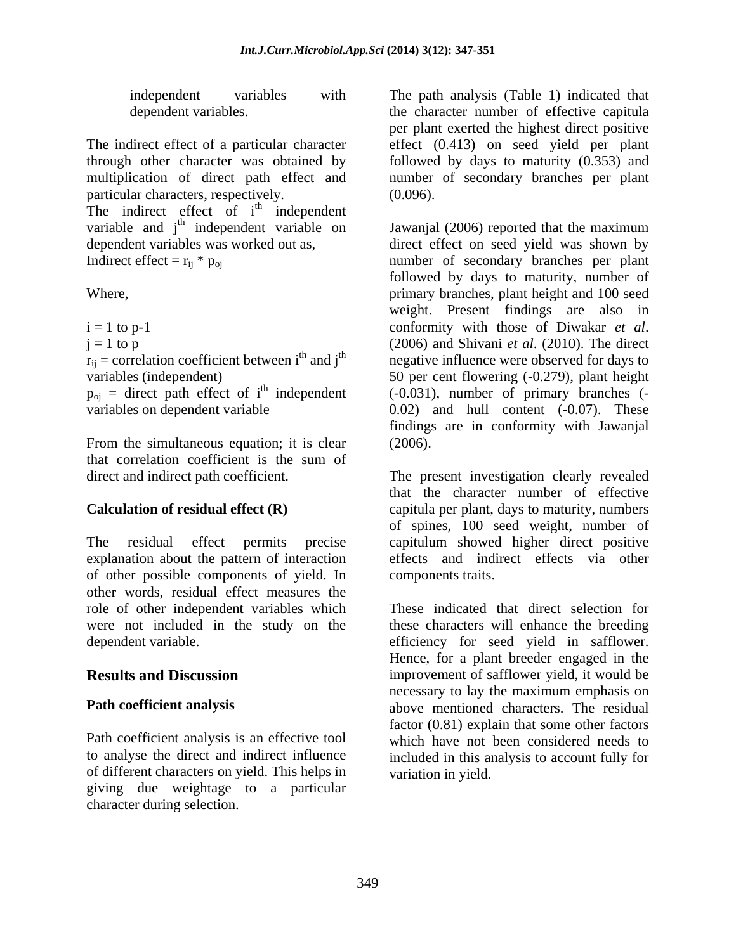particular characters, respectively. (0.096). The indirect effect of  $i<sup>th</sup>$  independent <sup>th</sup> independent variable and j<sup>th</sup> independent variable on dependent variables was worked out as.

 $r_{ij}$  = correlation coefficient between i<sup>th</sup> and j<sup>th</sup> variables (independent)

 $p_{oj}$  = direct path effect of i<sup>th</sup> independent variables on dependent variable

From the simultaneous equation; it is clear (2006).<br>that correlation coefficient is the sum of that correlation coefficient is the sum of

explanation about the pattern of interaction of other possible components of yield. In other words, residual effect measures the role of other independent variables which were not included in the study on the

of different characters on yield. This helps in giving due weightage to a particular character during selection.

independent variables with The path analysis (Table 1) indicated that dependent variables. the character number of effective capitula The indirect effect of a particular character effect (0.413) on seed yield per plant through other character was obtained by followed by days to maturity (0.353) and multiplication of direct path effect and number of secondary branches per plant per plant exerted the highest direct positive (0.096).

 $t<sup>th</sup>$  independent variable on Jawanjal (2006) reported that the maximum dependent variables was worked out as, direct effect on seed yield was shown by Indirect effect =  $r_{ij}$  \*  $p_{oj}$  number of secondary branches per plant Where, primary branches, plant height and 100 seed i = 1 to p-1 conformity with those of Diwakar *et al*.  $j = 1$  to p  $(2006)$  and Shivani *et al.* (2010). The direct variables (independent) 50 per cent flowering (-0.279), plant height  $<sup>th</sup>$  independent ( $-0.031$ ), number of primary branches ( $-$ </sup> variables on dependent variable 0.02) and hull content (-0.07). These followed by days to maturity, number of weight. Present findings are also in negative influence were observed for days to findings are in conformity with Jawanjal (2006).

direct and indirect path coefficient. The present investigation clearly revealed **Calculation of residual effect (R)** capitula per plant, days to maturity, numbers The residual effect permits precise capitulum showed higher direct positive that the character number of effective of spines, 100 seed weight, number of effects and indirect effects via other components traits.

dependent variable. efficiency for seed yield in safflower. **Results and Discussion improvement of safflower yield, it would be Path coefficient analysis**  above mentioned characters. The residual Path coefficient analysis is an effective tool which have not been considered needs to to analyse the direct and indirect influence included in this analysis to account fully for These indicated that direct selection for these characters will enhance the breeding Hence, for a plant breeder engaged in the necessary to lay the maximum emphasis on factor (0.81) explain that some other factors variation in yield.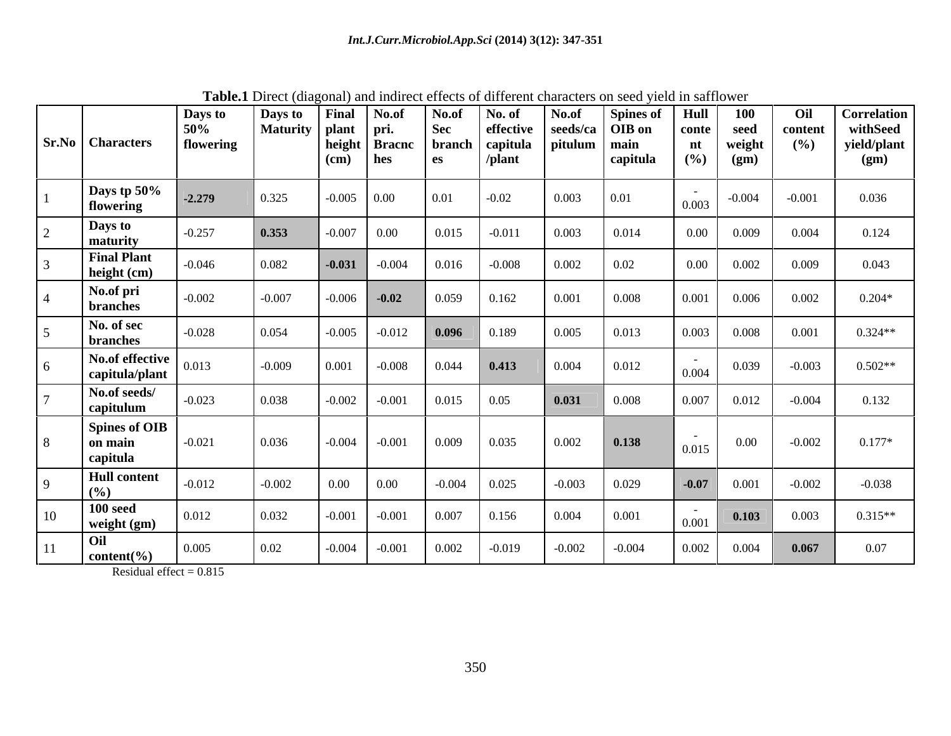|          |                                                                                                                                                                                                                                | <b>Final</b>         |                                                                                                                            | No.of                                                                                                            | No. of                                          | No.of                                               |          | Hull                                                                       | <b>100</b>            | Oil                                                                                                                                         | <b>Correlation</b> |
|----------|--------------------------------------------------------------------------------------------------------------------------------------------------------------------------------------------------------------------------------|----------------------|----------------------------------------------------------------------------------------------------------------------------|------------------------------------------------------------------------------------------------------------------|-------------------------------------------------|-----------------------------------------------------|----------|----------------------------------------------------------------------------|-----------------------|---------------------------------------------------------------------------------------------------------------------------------------------|--------------------|
|          |                                                                                                                                                                                                                                |                      |                                                                                                                            |                                                                                                                  |                                                 |                                                     |          |                                                                            |                       |                                                                                                                                             | withSeed           |
|          |                                                                                                                                                                                                                                |                      |                                                                                                                            |                                                                                                                  |                                                 |                                                     |          |                                                                            |                       |                                                                                                                                             | yield/plant        |
|          |                                                                                                                                                                                                                                |                      |                                                                                                                            |                                                                                                                  |                                                 |                                                     |          |                                                                            |                       |                                                                                                                                             | (gm)               |
| $-2.279$ |                                                                                                                                                                                                                                |                      | 0.00                                                                                                                       | 0.01                                                                                                             | $-0.02$                                         | 0.003                                               | 0.01     | 0.003                                                                      | $-0.004$              | $-0.001$                                                                                                                                    | 0.036              |
| $-0.257$ |                                                                                                                                                                                                                                |                      | $0.00\,$                                                                                                                   | 0.015                                                                                                            | $-0.011$                                        | 0.003                                               | 0.014    |                                                                            | 0.009                 | 0.004                                                                                                                                       | 0.124              |
| 0.046    |                                                                                                                                                                                                                                | $-0.031$             | $-0.004$                                                                                                                   | 0.016                                                                                                            | $-0.008$                                        | 0.002                                               | 0.02     | $0.00\,$                                                                   | 0.002                 | 0.009                                                                                                                                       | 0.043              |
| $-0.002$ |                                                                                                                                                                                                                                |                      |                                                                                                                            | 0.059                                                                                                            | 0.162                                           | 0.001                                               | 0.008    | 0.001                                                                      | 0.006                 | 0.002                                                                                                                                       | $0.204*$           |
| $-0.028$ |                                                                                                                                                                                                                                |                      | $-0.012$                                                                                                                   | 0.096                                                                                                            | 0.189                                           | 0.005                                               | 0.013    | 0.003                                                                      | 0.008                 | 0.001                                                                                                                                       | $0.324**$          |
| 013      |                                                                                                                                                                                                                                | 0.001                | $-0.008$                                                                                                                   | 0.044                                                                                                            |                                                 | 0.004                                               | 0.012    | 0.004                                                                      | 0.039                 | $-0.003$                                                                                                                                    | $0.502**$          |
| 0.023    |                                                                                                                                                                                                                                | $-0.002$             | $-0.001$                                                                                                                   | 0.015                                                                                                            | 0.05                                            | 0.031                                               | 0.008    | 0.007                                                                      | 0.012                 | $-0.004$                                                                                                                                    | 0.132              |
| $-0.021$ |                                                                                                                                                                                                                                |                      |                                                                                                                            | 0.009                                                                                                            | 0.035                                           | 0.002                                               | 0.138    | $\sim$<br>0.015                                                            | $0.00\,$              | $-0.002$                                                                                                                                    | $0.177*$           |
| $-0.012$ |                                                                                                                                                                                                                                | $0.00\,$             | $0.00\,$                                                                                                                   | $-0.004$                                                                                                         | 0.025                                           | $-0.003$                                            | 0.029    | $-0.07$                                                                    | 0.001                 | $-0.002$                                                                                                                                    | $-0.038$           |
| 0.012    |                                                                                                                                                                                                                                |                      | $-0.001$                                                                                                                   | 0.007                                                                                                            | 0.156                                           | 0.004                                               | 0.001    | 0.001                                                                      | 0.103                 | 0.003                                                                                                                                       | $0.315**$          |
| 0.005    |                                                                                                                                                                                                                                | $-0.004$             | $-0.001$                                                                                                                   | 0.002                                                                                                            | $-0.019$                                        | $-0.002$                                            | $-0.004$ | 0.002                                                                      | 0.004                 | 0.067                                                                                                                                       | 0.07               |
|          | 50%<br><b>Sr.No</b> Characters<br>Days tp 50%<br><b>Final Plant</b><br>height (cm)<br>No.of effective<br>capitula/plant<br>No.of seeds/<br>capitulum<br>Spines of OIB<br><b>Hull</b> content<br>weight (gm)<br>content $(\% )$ | Days to<br>flowering | Days to<br>(cm)<br>0.325<br>0.353<br>0.082<br>$-0.007$<br>0.054<br>$-0.009$<br>0.038<br>0.036<br>$-0.002$<br>0.032<br>0.02 | No.of<br>  Maturity   plant<br>  pri.<br>hes<br>$-0.005$<br>$-0.007$<br>$-0.006$ $-0.02$<br>$-0.005$<br>$-0.001$ | Sec<br>height Bracnc<br>es<br>$-0.004$ $-0.001$ | effective<br>branch   capitula<br>/plant<br>  0.413 |          | <b>Spines of</b><br>seeds/ca $\vert$ OIB on<br>pitulum<br>main<br>capitula | conte<br>nt<br>$(\%)$ | <b>Thorough the component will have convert the component commutation</b> on bood spoke in build were<br>seed<br>weight<br>(gm)<br>$0.00\,$ | content<br>(%)     |

**Table.1** Direct (diagonal) and indirect effects of different characters on seed yield in safflower

Residual effect =  $0.815$